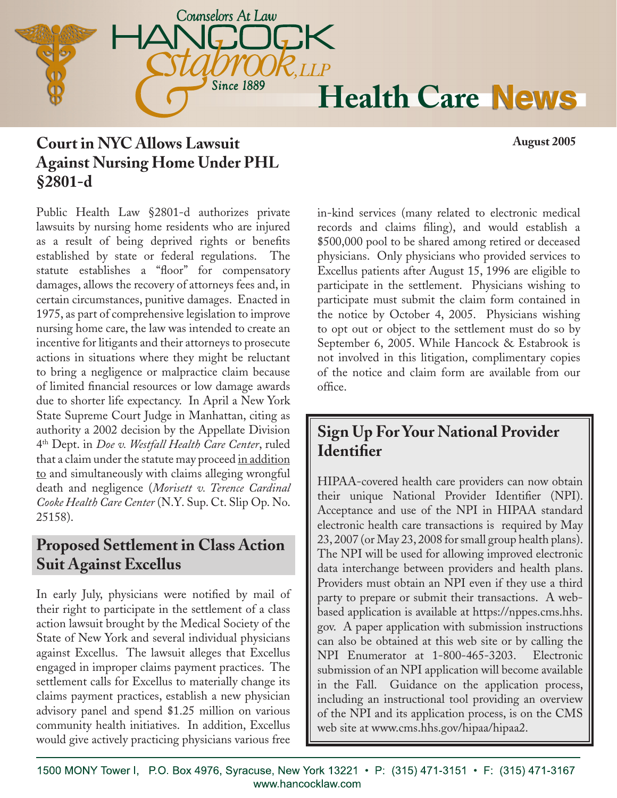

### **Court in NYC Allows Lawsuit August 2005 Against Nursing Home Under PHL §2801-d**

Public Health Law §2801-d authorizes private lawsuits by nursing home residents who are injured as a result of being deprived rights or benefits established by state or federal regulations. The statute establishes a "floor" for compensatory damages, allows the recovery of attorneys fees and, in certain circumstances, punitive damages. Enacted in 1975, as part of comprehensive legislation to improve nursing home care, the law was intended to create an incentive for litigants and their attorneys to prosecute actions in situations where they might be reluctant to bring a negligence or malpractice claim because of limited financial resources or low damage awards due to shorter life expectancy. In April a New York State Supreme Court Judge in Manhattan, citing as authority a 2002 decision by the Appellate Division 4th Dept. in *Doe v. Westfall Health Care Center*, ruled that a claim under the statute may proceed in addition to and simultaneously with claims alleging wrongful death and negligence (*Morisett v. Terence Cardinal Cooke Health Care Center* (N.Y. Sup. Ct. Slip Op. No. 25158).

#### **Proposed Settlement in Class Action Suit Against Excellus**

In early July, physicians were notified by mail of their right to participate in the settlement of a class action lawsuit brought by the Medical Society of the State of New York and several individual physicians against Excellus. The lawsuit alleges that Excellus engaged in improper claims payment practices. The settlement calls for Excellus to materially change its claims payment practices, establish a new physician advisory panel and spend \$1.25 million on various community health initiatives. In addition, Excellus would give actively practicing physicians various free

in-kind services (many related to electronic medical records and claims filing), and would establish a \$500,000 pool to be shared among retired or deceased physicians. Only physicians who provided services to Excellus patients after August 15, 1996 are eligible to participate in the settlement. Physicians wishing to participate must submit the claim form contained in the notice by October 4, 2005. Physicians wishing to opt out or object to the settlement must do so by September 6, 2005. While Hancock & Estabrook is not involved in this litigation, complimentary copies of the notice and claim form are available from our office.

#### **Sign Up For Your National Provider Identifier**

HIPAA-covered health care providers can now obtain their unique National Provider Identifier (NPI). Acceptance and use of the NPI in HIPAA standard electronic health care transactions is required by May 23, 2007 (or May 23, 2008 for small group health plans). The NPI will be used for allowing improved electronic data interchange between providers and health plans. Providers must obtain an NPI even if they use a third party to prepare or submit their transactions. A webbased application is available at https://nppes.cms.hhs. gov. A paper application with submission instructions can also be obtained at this web site or by calling the NPI Enumerator at 1-800-465-3203. Electronic submission of an NPI application will become available in the Fall. Guidance on the application process, including an instructional tool providing an overview of the NPI and its application process, is on the CMS web site at www.cms.hhs.gov/hipaa/hipaa2.

1500 MONY Tower I, P.O. Box 4976, Syracuse, New York 13221 • P: (315) 471-3151 • F: (315) 471-3167 www.hancocklaw.com